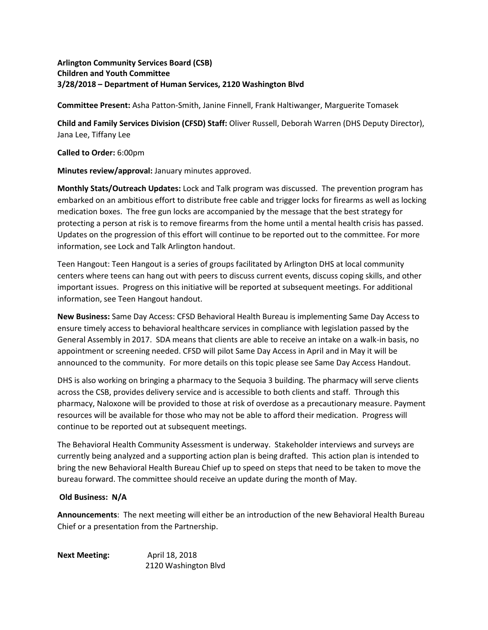## **Arlington Community Services Board (CSB) Children and Youth Committee 3/28/2018 – Department of Human Services, 2120 Washington Blvd**

**Committee Present:** Asha Patton-Smith, Janine Finnell, Frank Haltiwanger, Marguerite Tomasek

**Child and Family Services Division (CFSD) Staff:** Oliver Russell, Deborah Warren (DHS Deputy Director), Jana Lee, Tiffany Lee

**Called to Order:** 6:00pm

**Minutes review/approval:** January minutes approved.

**Monthly Stats/Outreach Updates:** Lock and Talk program was discussed. The prevention program has embarked on an ambitious effort to distribute free cable and trigger locks for firearms as well as locking medication boxes. The free gun locks are accompanied by the message that the best strategy for protecting a person at risk is to remove firearms from the home until a mental health crisis has passed. Updates on the progression of this effort will continue to be reported out to the committee. For more information, see Lock and Talk Arlington handout.

Teen Hangout: Teen Hangout is a series of groups facilitated by Arlington DHS at local community centers where teens can hang out with peers to discuss current events, discuss coping skills, and other important issues. Progress on this initiative will be reported at subsequent meetings. For additional information, see Teen Hangout handout.

**New Business:** Same Day Access: CFSD Behavioral Health Bureau is implementing Same Day Access to ensure timely access to behavioral healthcare services in compliance with legislation passed by the General Assembly in 2017. SDA means that clients are able to receive an intake on a walk-in basis, no appointment or screening needed. CFSD will pilot Same Day Access in April and in May it will be announced to the community. For more details on this topic please see Same Day Access Handout.

DHS is also working on bringing a pharmacy to the Sequoia 3 building. The pharmacy will serve clients across the CSB, provides delivery service and is accessible to both clients and staff. Through this pharmacy, Naloxone will be provided to those at risk of overdose as a precautionary measure. Payment resources will be available for those who may not be able to afford their medication. Progress will continue to be reported out at subsequent meetings.

The Behavioral Health Community Assessment is underway. Stakeholder interviews and surveys are currently being analyzed and a supporting action plan is being drafted. This action plan is intended to bring the new Behavioral Health Bureau Chief up to speed on steps that need to be taken to move the bureau forward. The committee should receive an update during the month of May.

## **Old Business: N/A**

**Announcements**: The next meeting will either be an introduction of the new Behavioral Health Bureau Chief or a presentation from the Partnership.

Next Meeting: April 18, 2018 2120 Washington Blvd